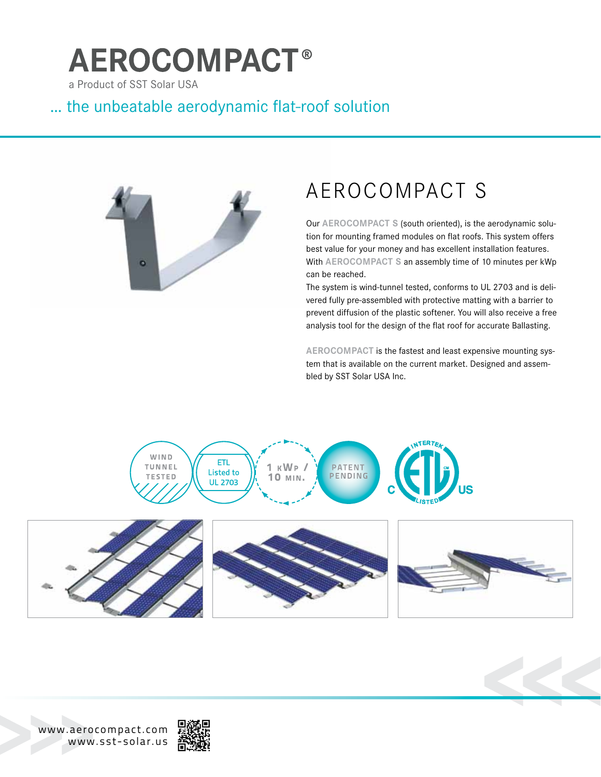# **AEROCOMPACT®**

a Product of SST Solar USA

### … the unbeatable aerodynamic flat-roof solution



## AEROCOMPACT S

Our AEROCOMPACT S (south oriented), is the aerodynamic solution for mounting framed modules on flat roofs. This system offers best value for your money and has excellent installation features. With **aerocompact s** an assembly time of 10 minutes per kWp can be reached.

The system is wind-tunnel tested, conforms to UL 2703 and is delivered fully pre-assembled with protective matting with a barrier to prevent diffusion of the plastic softener. You will also receive a free analysis tool for the design of the flat roof for accurate Ballasting.

AEROCOMPACT is the fastest and least expensive mounting system that is available on the current market. Designed and assembled by SST Solar USA Inc.